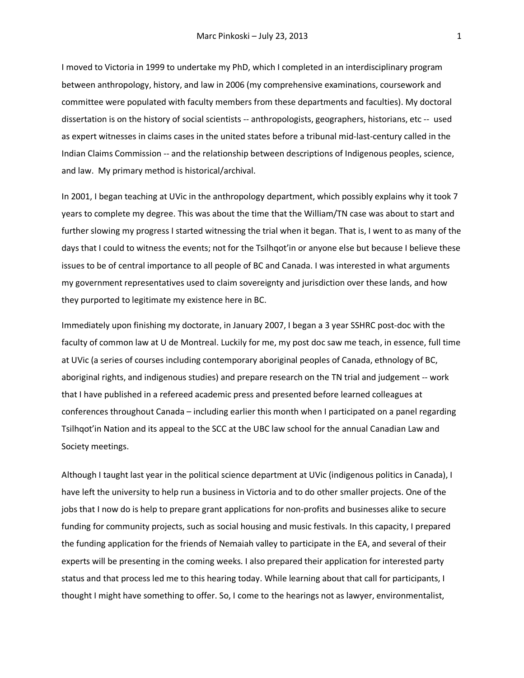I moved to Victoria in 1999 to undertake my PhD, which I completed in an interdisciplinary program between anthropology, history, and law in 2006 (my comprehensive examinations, coursework and committee were populated with faculty members from these departments and faculties). My doctoral dissertation is on the history of social scientists -- anthropologists, geographers, historians, etc -- used as expert witnesses in claims cases in the united states before a tribunal mid-last-century called in the Indian Claims Commission -- and the relationship between descriptions of Indigenous peoples, science, and law. My primary method is historical/archival.

In 2001, I began teaching at UVic in the anthropology department, which possibly explains why it took 7 years to complete my degree. This was about the time that the William/TN case was about to start and further slowing my progress I started witnessing the trial when it began. That is, I went to as many of the days that I could to witness the events; not for the Tsilhqot'in or anyone else but because I believe these issues to be of central importance to all people of BC and Canada. I was interested in what arguments my government representatives used to claim sovereignty and jurisdiction over these lands, and how they purported to legitimate my existence here in BC.

Immediately upon finishing my doctorate, in January 2007, I began a 3 year SSHRC post-doc with the faculty of common law at U de Montreal. Luckily for me, my post doc saw me teach, in essence, full time at UVic (a series of courses including contemporary aboriginal peoples of Canada, ethnology of BC, aboriginal rights, and indigenous studies) and prepare research on the TN trial and judgement -- work that I have published in a refereed academic press and presented before learned colleagues at conferences throughout Canada – including earlier this month when I participated on a panel regarding Tsilhqot'in Nation and its appeal to the SCC at the UBC law school for the annual Canadian Law and Society meetings.

Although I taught last year in the political science department at UVic (indigenous politics in Canada), I have left the university to help run a business in Victoria and to do other smaller projects. One of the jobs that I now do is help to prepare grant applications for non-profits and businesses alike to secure funding for community projects, such as social housing and music festivals. In this capacity, I prepared the funding application for the friends of Nemaiah valley to participate in the EA, and several of their experts will be presenting in the coming weeks. I also prepared their application for interested party status and that process led me to this hearing today. While learning about that call for participants, I thought I might have something to offer. So, I come to the hearings not as lawyer, environmentalist,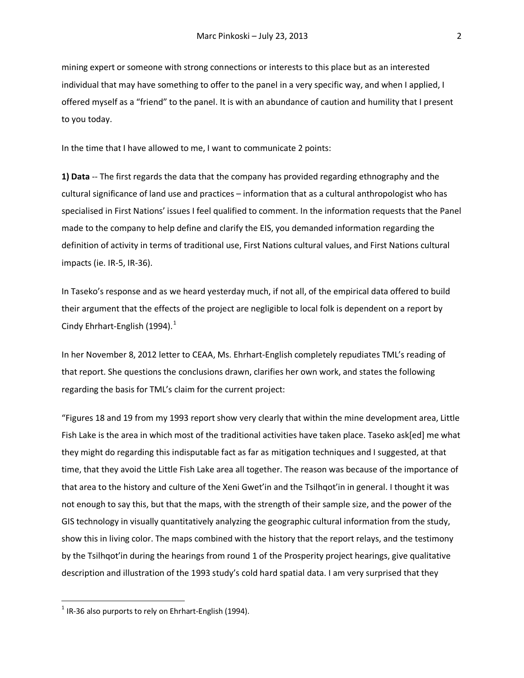mining expert or someone with strong connections or interests to this place but as an interested individual that may have something to offer to the panel in a very specific way, and when I applied, I offered myself as a "friend" to the panel. It is with an abundance of caution and humility that I present to you today.

In the time that I have allowed to me, I want to communicate 2 points:

**1) Data** -- The first regards the data that the company has provided regarding ethnography and the cultural significance of land use and practices – information that as a cultural anthropologist who has specialised in First Nations' issues I feel qualified to comment. In the information requests that the Panel made to the company to help define and clarify the EIS, you demanded information regarding the definition of activity in terms of traditional use, First Nations cultural values, and First Nations cultural impacts (ie. IR-5, IR-36).

In Taseko's response and as we heard yesterday much, if not all, of the empirical data offered to build their argument that the effects of the project are negligible to local folk is dependent on a report by Cindy Ehrhart-English ([1](#page-1-0)994). $<sup>1</sup>$ </sup>

In her November 8, 2012 letter to CEAA, Ms. Ehrhart-English completely repudiates TML's reading of that report. She questions the conclusions drawn, clarifies her own work, and states the following regarding the basis for TML's claim for the current project:

"Figures 18 and 19 from my 1993 report show very clearly that within the mine development area, Little Fish Lake is the area in which most of the traditional activities have taken place. Taseko ask[ed] me what they might do regarding this indisputable fact as far as mitigation techniques and I suggested, at that time, that they avoid the Little Fish Lake area all together. The reason was because of the importance of that area to the history and culture of the Xeni Gwet'in and the Tsilhqot'in in general. I thought it was not enough to say this, but that the maps, with the strength of their sample size, and the power of the GIS technology in visually quantitatively analyzing the geographic cultural information from the study, show this in living color. The maps combined with the history that the report relays, and the testimony by the Tsilhqot'in during the hearings from round 1 of the Prosperity project hearings, give qualitative description and illustration of the 1993 study's cold hard spatial data. I am very surprised that they

<span id="page-1-0"></span> $1$  IR-36 also purports to rely on Ehrhart-English (1994).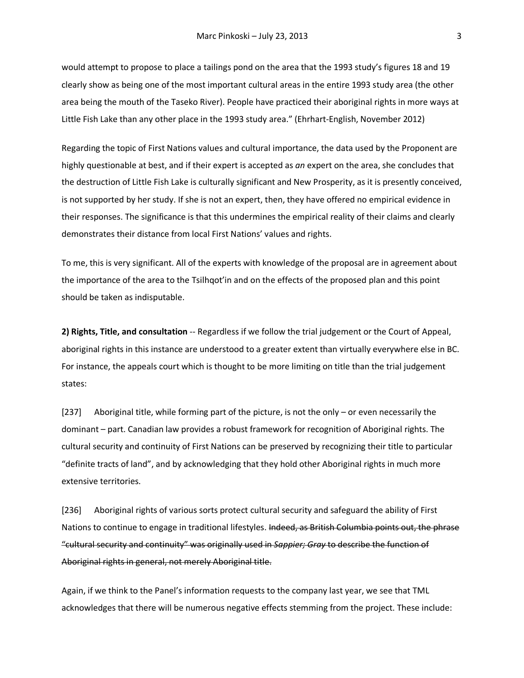would attempt to propose to place a tailings pond on the area that the 1993 study's figures 18 and 19 clearly show as being one of the most important cultural areas in the entire 1993 study area (the other area being the mouth of the Taseko River). People have practiced their aboriginal rights in more ways at Little Fish Lake than any other place in the 1993 study area." (Ehrhart-English, November 2012)

Regarding the topic of First Nations values and cultural importance, the data used by the Proponent are highly questionable at best, and if their expert is accepted as *an* expert on the area, she concludes that the destruction of Little Fish Lake is culturally significant and New Prosperity, as it is presently conceived, is not supported by her study. If she is not an expert, then, they have offered no empirical evidence in their responses. The significance is that this undermines the empirical reality of their claims and clearly demonstrates their distance from local First Nations' values and rights.

To me, this is very significant. All of the experts with knowledge of the proposal are in agreement about the importance of the area to the Tsilhqot'in and on the effects of the proposed plan and this point should be taken as indisputable.

**2) Rights, Title, and consultation** -- Regardless if we follow the trial judgement or the Court of Appeal, aboriginal rights in this instance are understood to a greater extent than virtually everywhere else in BC. For instance, the appeals court which is thought to be more limiting on title than the trial judgement states:

[237] Aboriginal title, while forming part of the picture, is not the only – or even necessarily the dominant – part. Canadian law provides a robust framework for recognition of Aboriginal rights. The cultural security and continuity of First Nations can be preserved by recognizing their title to particular "definite tracts of land", and by acknowledging that they hold other Aboriginal rights in much more extensive territories.

[236] Aboriginal rights of various sorts protect cultural security and safeguard the ability of First Nations to continue to engage in traditional lifestyles. Indeed, as British Columbia points out, the phrase "cultural security and continuity" was originally used in *Sappier; Gray* to describe the function of Aboriginal rights in general, not merely Aboriginal title.

Again, if we think to the Panel's information requests to the company last year, we see that TML acknowledges that there will be numerous negative effects stemming from the project. These include: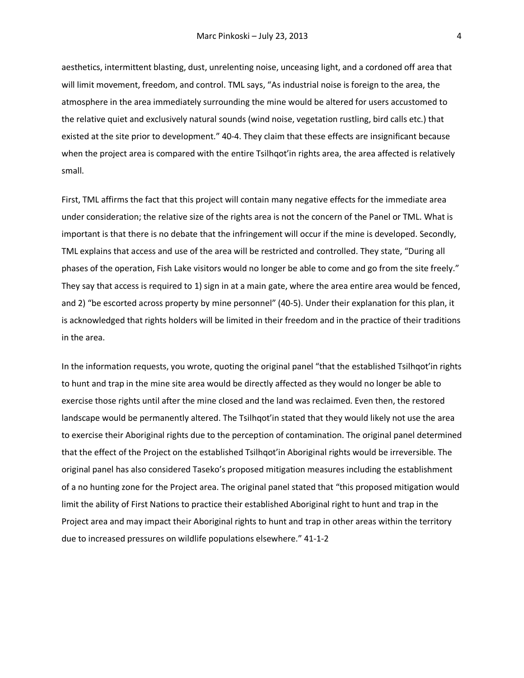aesthetics, intermittent blasting, dust, unrelenting noise, unceasing light, and a cordoned off area that will limit movement, freedom, and control. TML says, "As industrial noise is foreign to the area, the atmosphere in the area immediately surrounding the mine would be altered for users accustomed to the relative quiet and exclusively natural sounds (wind noise, vegetation rustling, bird calls etc.) that existed at the site prior to development." 40-4. They claim that these effects are insignificant because when the project area is compared with the entire Tsilhqot'in rights area, the area affected is relatively small.

First, TML affirms the fact that this project will contain many negative effects for the immediate area under consideration; the relative size of the rights area is not the concern of the Panel or TML. What is important is that there is no debate that the infringement will occur if the mine is developed. Secondly, TML explains that access and use of the area will be restricted and controlled. They state, "During all phases of the operation, Fish Lake visitors would no longer be able to come and go from the site freely." They say that access is required to 1) sign in at a main gate, where the area entire area would be fenced, and 2) "be escorted across property by mine personnel" (40-5). Under their explanation for this plan, it is acknowledged that rights holders will be limited in their freedom and in the practice of their traditions in the area.

In the information requests, you wrote, quoting the original panel "that the established Tsilhqot'in rights to hunt and trap in the mine site area would be directly affected as they would no longer be able to exercise those rights until after the mine closed and the land was reclaimed. Even then, the restored landscape would be permanently altered. The Tsilhqot'in stated that they would likely not use the area to exercise their Aboriginal rights due to the perception of contamination. The original panel determined that the effect of the Project on the established Tsilhqot'in Aboriginal rights would be irreversible. The original panel has also considered Taseko's proposed mitigation measures including the establishment of a no hunting zone for the Project area. The original panel stated that "this proposed mitigation would limit the ability of First Nations to practice their established Aboriginal right to hunt and trap in the Project area and may impact their Aboriginal rights to hunt and trap in other areas within the territory due to increased pressures on wildlife populations elsewhere." 41-1-2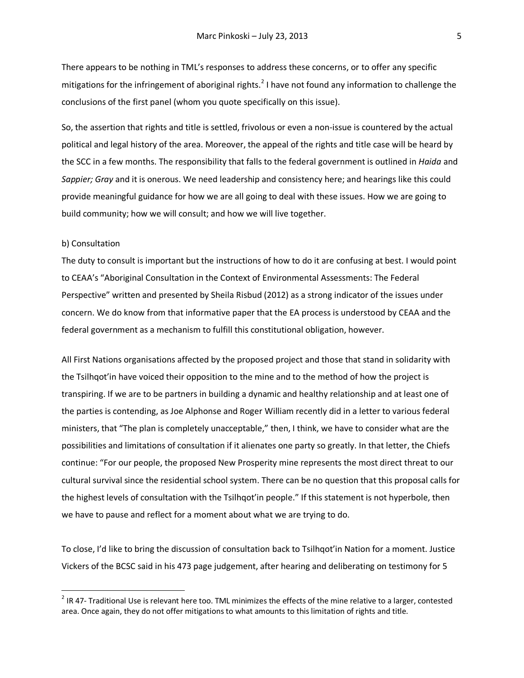There appears to be nothing in TML's responses to address these concerns, or to offer any specific mitigations for the infringement of aboriginal rights.<sup>[2](#page-4-0)</sup> I have not found any information to challenge the conclusions of the first panel (whom you quote specifically on this issue).

So, the assertion that rights and title is settled, frivolous or even a non-issue is countered by the actual political and legal history of the area. Moreover, the appeal of the rights and title case will be heard by the SCC in a few months. The responsibility that falls to the federal government is outlined in *Haida* and *Sappier; Gray* and it is onerous. We need leadership and consistency here; and hearings like this could provide meaningful guidance for how we are all going to deal with these issues. How we are going to build community; how we will consult; and how we will live together.

## b) Consultation

The duty to consult is important but the instructions of how to do it are confusing at best. I would point to CEAA's "Aboriginal Consultation in the Context of Environmental Assessments: The Federal Perspective" written and presented by Sheila Risbud (2012) as a strong indicator of the issues under concern. We do know from that informative paper that the EA process is understood by CEAA and the federal government as a mechanism to fulfill this constitutional obligation, however.

All First Nations organisations affected by the proposed project and those that stand in solidarity with the Tsilhqot'in have voiced their opposition to the mine and to the method of how the project is transpiring. If we are to be partners in building a dynamic and healthy relationship and at least one of the parties is contending, as Joe Alphonse and Roger William recently did in a letter to various federal ministers, that "The plan is completely unacceptable," then, I think, we have to consider what are the possibilities and limitations of consultation if it alienates one party so greatly. In that letter, the Chiefs continue: "For our people, the proposed New Prosperity mine represents the most direct threat to our cultural survival since the residential school system. There can be no question that this proposal calls for the highest levels of consultation with the Tsilhqot'in people." If this statement is not hyperbole, then we have to pause and reflect for a moment about what we are trying to do.

To close, I'd like to bring the discussion of consultation back to Tsilhqot'in Nation for a moment. Justice Vickers of the BCSC said in his 473 page judgement, after hearing and deliberating on testimony for 5

<span id="page-4-0"></span> $2$  IR 47- Traditional Use is relevant here too. TML minimizes the effects of the mine relative to a larger, contested area. Once again, they do not offer mitigations to what amounts to this limitation of rights and title.